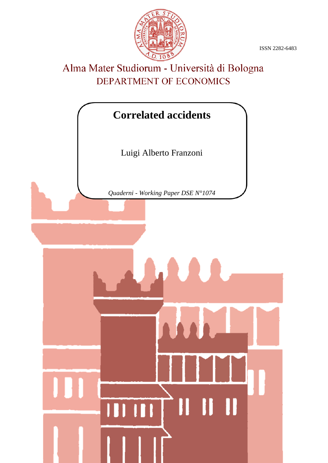ISSN 2282-6483



# Alma Mater Studiorum - Università di Bologna DEPARTMENT OF ECONOMICS

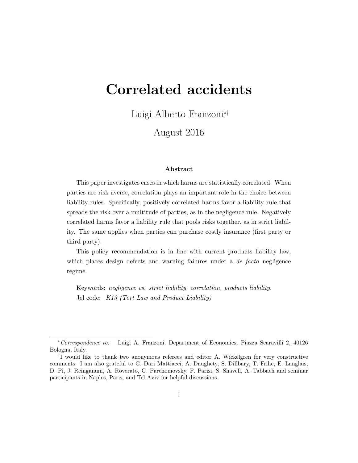# Correlated accidents

Luigi Alberto Franzoni∗†

August 2016

#### Abstract

This paper investigates cases in which harms are statistically correlated. When parties are risk averse, correlation plays an important role in the choice between liability rules. Specifically, positively correlated harms favor a liability rule that spreads the risk over a multitude of parties, as in the negligence rule. Negatively correlated harms favor a liability rule that pools risks together, as in strict liability. The same applies when parties can purchase costly insurance (first party or third party).

This policy recommendation is in line with current products liability law, which places design defects and warning failures under a *de facto* negligence regime.

Keywords: negligence vs. strict liability, correlation, products liability. Jel code: K13 (Tort Law and Product Liability)

<sup>∗</sup>Correspondence to: Luigi A. Franzoni, Department of Economics, Piazza Scaravilli 2, 40126 Bologna, Italy.

<sup>†</sup> I would like to thank two anonymous referees and editor A. Wickelgren for very constructive comments. I am also grateful to G. Dari Mattiacci, A. Daughety, S. Dillbary, T. Frihe, E. Langlais, D. Pi, J. Reinganum, A. Roverato, G. Parchomovsky, F. Parisi, S. Shavell, A. Tabbach and seminar participants in Naples, Paris, and Tel Aviv for helpful discussions.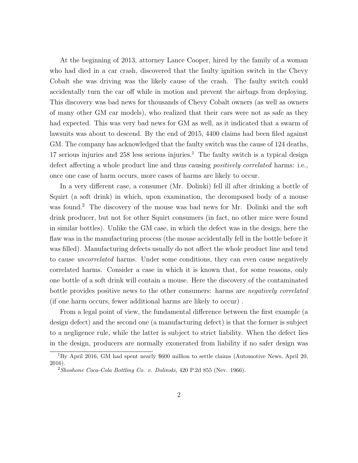At the beginning of 2013, attorney Lance Cooper, hired by the family of a woman who had died in a car crash, discovered that the faulty ignition switch in the Chevy Cobalt she was driving was the likely cause of the crash. The faulty switch could accidentally turn the car off while in motion and prevent the airbags from deploying. This discovery was bad news for thousands of Chevy Cobalt owners (as well as owners of many other GM car models), who realized that their cars were not as safe as they had expected. This was very bad news for GM as well, as it indicated that a swarm of lawsuits was about to descend. By the end of 2015, 4400 claims had been filed against GM. The company has acknowledged that the faulty switch was the cause of 124 deaths, 17 serious injuries and  $258$  less serious injuries.<sup>1</sup> The faulty switch is a typical design defect affecting a whole product line and thus causing positively correlated harms: i.e., once one case of harm occurs, more cases of harms are likely to occur.

In a very different case, a consumer (Mr. Dolinki) fell ill after drinking a bottle of Squirt (a soft drink) in which, upon examination, the decomposed body of a mouse was found.<sup>2</sup> The discovery of the mouse was bad news for Mr. Dolinki and the soft drink producer, but not for other Squirt consumers (in fact, no other mice were found in similar bottles). Unlike the GM case, in which the defect was in the design, here the flaw was in the manufacturing process (the mouse accidentally fell in the bottle before it was filled). Manufacturing defects usually do not affect the whole product line and tend to cause uncorrelated harms. Under some conditions, they can even cause negatively correlated harms. Consider a case in which it is known that, for some reasons, only one bottle of a soft drink will contain a mouse. Here the discovery of the contaminated bottle provides positive news to the other consumers: harms are negatively correlated (if one harm occurs, fewer additional harms are likely to occur) .

From a legal point of view, the fundamental difference between the first example (a design defect) and the second one (a manufacturing defect) is that the former is subject to a negligence rule, while the latter is subject to strict liability. When the defect lies in the design, producers are normally exonerated from liability if no safer design was

 $1\text{By April 2016}$ , GM had spent nearly \$600 million to settle claims (Automotive News, April 20, 2016).

 $2\overline{S}$ hoshone Coca-Cola Bottling Co. v. Dolinski, 420 P.2d 855 (Nev. 1966).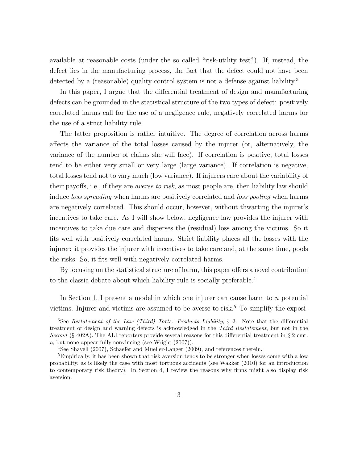available at reasonable costs (under the so called "risk-utility test"). If, instead, the defect lies in the manufacturing process, the fact that the defect could not have been detected by a (reasonable) quality control system is not a defense against liability.<sup>3</sup>

In this paper, I argue that the differential treatment of design and manufacturing defects can be grounded in the statistical structure of the two types of defect: positively correlated harms call for the use of a negligence rule, negatively correlated harms for the use of a strict liability rule.

The latter proposition is rather intuitive. The degree of correlation across harms affects the variance of the total losses caused by the injurer (or, alternatively, the variance of the number of claims she will face). If correlation is positive, total losses tend to be either very small or very large (large variance). If correlation is negative, total losses tend not to vary much (low variance). If injurers care about the variability of their payoffs, i.e., if they are *averse to risk*, as most people are, then liability law should induce loss spreading when harms are positively correlated and loss pooling when harms are negatively correlated. This should occur, however, without thwarting the injurer's incentives to take care. As I will show below, negligence law provides the injurer with incentives to take due care and disperses the (residual) loss among the victims. So it fits well with positively correlated harms. Strict liability places all the losses with the injurer: it provides the injurer with incentives to take care and, at the same time, pools the risks. So, it fits well with negatively correlated harms.

By focusing on the statistical structure of harm, this paper offers a novel contribution to the classic debate about which liability rule is socially preferable.<sup>4</sup>

In Section 1, I present a model in which one injurer can cause harm to n potential victims. Injurer and victims are assumed to be averse to risk.<sup>5</sup> To simplify the exposi-

<sup>&</sup>lt;sup>3</sup>See Restatement of the Law (Third) Torts: Products Liability,  $\S$  2. Note that the differential treatment of design and warning defects is acknowledged in the Third Restatement, but not in the Second  $(\S$  402A). The ALI reporters provide several reasons for this differential treatment in  $\S$  2 cmt. a, but none appear fully convincing (see Wright (2007)).

<sup>4</sup>See Shavell (2007), Schaefer and Mueller-Langer (2009), and references therein.

<sup>&</sup>lt;sup>5</sup>Empirically, it has been shown that risk aversion tends to be stronger when losses come with a low probability, as is likely the case with most tortuous accidents (see Wakker (2010) for an introduction to contemporary risk theory). In Section 4, I review the reasons why firms might also display risk aversion.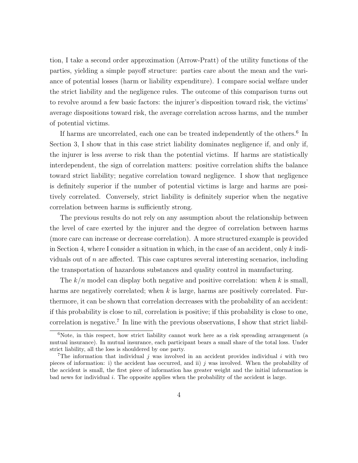tion, I take a second order approximation (Arrow-Pratt) of the utility functions of the parties, yielding a simple payoff structure: parties care about the mean and the variance of potential losses (harm or liability expenditure). I compare social welfare under the strict liability and the negligence rules. The outcome of this comparison turns out to revolve around a few basic factors: the injurer's disposition toward risk, the victims' average dispositions toward risk, the average correlation across harms, and the number of potential victims.

If harms are uncorrelated, each one can be treated independently of the others.<sup>6</sup> In Section 3, I show that in this case strict liability dominates negligence if, and only if, the injurer is less averse to risk than the potential victims. If harms are statistically interdependent, the sign of correlation matters: positive correlation shifts the balance toward strict liability; negative correlation toward negligence. I show that negligence is definitely superior if the number of potential victims is large and harms are positively correlated. Conversely, strict liability is definitely superior when the negative correlation between harms is sufficiently strong.

The previous results do not rely on any assumption about the relationship between the level of care exerted by the injurer and the degree of correlation between harms (more care can increase or decrease correlation). A more structured example is provided in Section 4, where I consider a situation in which, in the case of an accident, only  $k$  individuals out of  $n$  are affected. This case captures several interesting scenarios, including the transportation of hazardous substances and quality control in manufacturing.

The  $k/n$  model can display both negative and positive correlation: when k is small, harms are negatively correlated; when  $k$  is large, harms are positively correlated. Furthermore, it can be shown that correlation decreases with the probability of an accident: if this probability is close to nil, correlation is positive; if this probability is close to one, correlation is negative.<sup>7</sup> In line with the previous observations, I show that strict liabil-

 $6$ Note, in this respect, how strict liability cannot work here as a risk spreading arrangement (a mutual insurance). In mutual insurance, each participant bears a small share of the total loss. Under strict liability, all the loss is shouldered by one party.

<sup>&</sup>lt;sup>7</sup>The information that individual j was involved in an accident provides individual i with two pieces of information: i) the accident has occurred, and ii) j was involved. When the probability of the accident is small, the first piece of information has greater weight and the initial information is bad news for individual i. The opposite applies when the probability of the accident is large.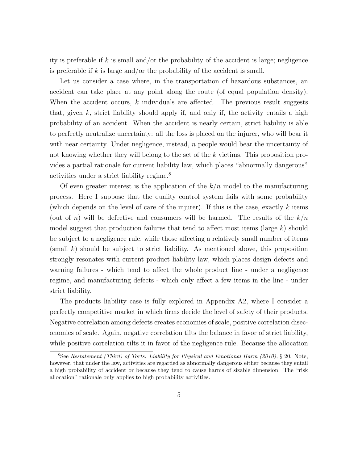ity is preferable if  $k$  is small and/or the probability of the accident is large; negligence is preferable if k is large and/or the probability of the accident is small.

Let us consider a case where, in the transportation of hazardous substances, an accident can take place at any point along the route (of equal population density). When the accident occurs,  $k$  individuals are affected. The previous result suggests that, given  $k$ , strict liability should apply if, and only if, the activity entails a high probability of an accident. When the accident is nearly certain, strict liability is able to perfectly neutralize uncertainty: all the loss is placed on the injurer, who will bear it with near certainty. Under negligence, instead, n people would bear the uncertainty of not knowing whether they will belong to the set of the k victims. This proposition provides a partial rationale for current liability law, which places "abnormally dangerous" activities under a strict liability regime.<sup>8</sup>

Of even greater interest is the application of the  $k/n$  model to the manufacturing process. Here I suppose that the quality control system fails with some probability (which depends on the level of care of the injurer). If this is the case, exactly  $k$  items (out of n) will be defective and consumers will be harmed. The results of the  $k/n$ model suggest that production failures that tend to affect most items (large  $k$ ) should be subject to a negligence rule, while those affecting a relatively small number of items  $(\text{small } k)$  should be subject to strict liability. As mentioned above, this proposition strongly resonates with current product liability law, which places design defects and warning failures - which tend to affect the whole product line - under a negligence regime, and manufacturing defects - which only affect a few items in the line - under strict liability.

The products liability case is fully explored in Appendix A2, where I consider a perfectly competitive market in which firms decide the level of safety of their products. Negative correlation among defects creates economies of scale, positive correlation diseconomies of scale. Again, negative correlation tilts the balance in favor of strict liability, while positive correlation tilts it in favor of the negligence rule. Because the allocation

<sup>&</sup>lt;sup>8</sup>See Restatement (Third) of Torts: Liability for Physical and Emotional Harm (2010),  $\S$  20. Note, however, that under the law, activities are regarded as abnormally dangerous either because they entail a high probability of accident or because they tend to cause harms of sizable dimension. The "risk allocation" rationale only applies to high probability activities.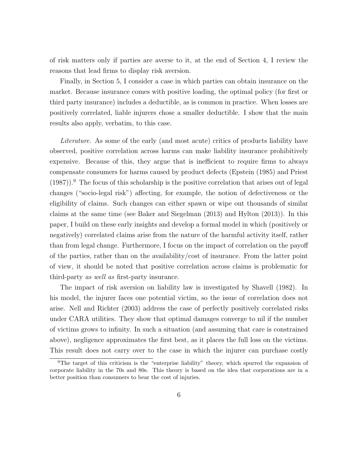of risk matters only if parties are averse to it, at the end of Section 4, I review the reasons that lead firms to display risk aversion.

Finally, in Section 5, I consider a case in which parties can obtain insurance on the market. Because insurance comes with positive loading, the optimal policy (for first or third party insurance) includes a deductible, as is common in practice. When losses are positively correlated, liable injurers chose a smaller deductible. I show that the main results also apply, verbatim, to this case.

Literature. As some of the early (and most acute) critics of products liability have observed, positive correlation across harms can make liability insurance prohibitively expensive. Because of this, they argue that is inefficient to require firms to always compensate consumers for harms caused by product defects (Epstein (1985) and Priest  $(1987)$ .<sup>9</sup> The focus of this scholarship is the positive correlation that arises out of legal changes ("socio-legal risk") affecting, for example, the notion of defectiveness or the eligibility of claims. Such changes can either spawn or wipe out thousands of similar claims at the same time (see Baker and Siegelman (2013) and Hylton (2013)). In this paper, I build on these early insights and develop a formal model in which (positively or negatively) correlated claims arise from the nature of the harmful activity itself, rather than from legal change. Furthermore, I focus on the impact of correlation on the payoff of the parties, rather than on the availability/cost of insurance. From the latter point of view, it should be noted that positive correlation across claims is problematic for third-party as well as first-party insurance.

The impact of risk aversion on liability law is investigated by Shavell (1982). In his model, the injurer faces one potential victim, so the issue of correlation does not arise. Nell and Richter (2003) address the case of perfectly positively correlated risks under CARA utilities. They show that optimal damages converge to nil if the number of victims grows to infinity. In such a situation (and assuming that care is constrained above), negligence approximates the first best, as it places the full loss on the victims. This result does not carry over to the case in which the injurer can purchase costly

<sup>&</sup>lt;sup>9</sup>The target of this criticism is the "enterprise liability" theory, which spurred the expansion of corporate liability in the 70s and 80s. This theory is based on the idea that corporations are in a better position than consumers to bear the cost of injuries.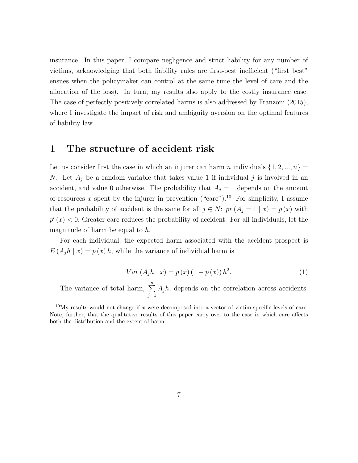insurance. In this paper, I compare negligence and strict liability for any number of victims, acknowledging that both liability rules are first-best inefficient ("first best" ensues when the policymaker can control at the same time the level of care and the allocation of the loss). In turn, my results also apply to the costly insurance case. The case of perfectly positively correlated harms is also addressed by Franzoni (2015), where I investigate the impact of risk and ambiguity aversion on the optimal features of liability law.

### 1 The structure of accident risk

Let us consider first the case in which an injurer can harm n individuals  $\{1, 2, ..., n\}$ N. Let  $A_j$  be a random variable that takes value 1 if individual j is involved in an accident, and value 0 otherwise. The probability that  $A_j = 1$  depends on the amount of resources x spent by the injurer in prevention ("care").<sup>10</sup> For simplicity, I assume that the probability of accident is the same for all  $j \in N$ :  $pr(A_j = 1 | x) = p(x)$  with  $p'(x) < 0$ . Greater care reduces the probability of accident. For all individuals, let the magnitude of harm be equal to  $h$ .

For each individual, the expected harm associated with the accident prospect is  $E(A_i h \mid x) = p(x) h$ , while the variance of individual harm is

$$
Var(A_j h \mid x) = p(x) (1 - p(x)) h^2.
$$
 (1)

The variance of total harm,  $\sum_{n=1}^{\infty}$  $j=1$  $A_j h$ , depends on the correlation across accidents.

 $10$ My results would not change if x were decomposed into a vector of victim-specific levels of care. Note, further, that the qualitative results of this paper carry over to the case in which care affects both the distribution and the extent of harm.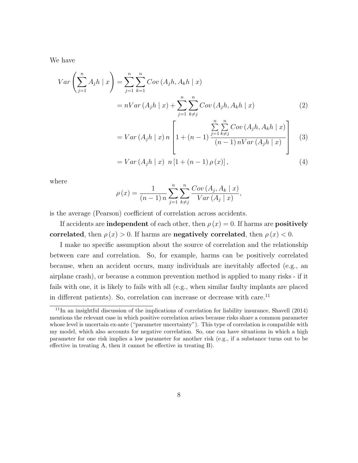We have

$$
Var\left(\sum_{j=1}^{n} A_j h \mid x\right) = \sum_{j=1}^{n} \sum_{k=1}^{n} Cov(A_j h, A_k h \mid x)
$$
  
=  $nVar(A_j h \mid x) + \sum_{j=1}^{n} \sum_{k \neq j}^{n} Cov(A_j h, A_k h \mid x)$  (2)

$$
= Var(A_j h \mid x) n \left[ 1 + (n-1) \frac{\sum_{j=1}^{n} \sum_{k \neq j}^{n} Cov(A_j h, A_k h \mid x)}{(n-1) nVar(A_j h \mid x)} \right] \tag{3}
$$

$$
= Var (A_j h | x) n [1 + (n - 1) \rho (x)], \qquad (4)
$$

where

$$
\rho(x) = \frac{1}{(n-1) n} \sum_{j=1}^{n} \sum_{k \neq j}^{n} \frac{Cov(A_j, A_k | x)}{Var(A_j | x)},
$$

is the average (Pearson) coefficient of correlation across accidents.

If accidents are **independent** of each other, then  $\rho(x) = 0$ . If harms are **positively** correlated, then  $\rho(x) > 0$ . If harms are negatively correlated, then  $\rho(x) < 0$ .

I make no specific assumption about the source of correlation and the relationship between care and correlation. So, for example, harms can be positively correlated because, when an accident occurs, many individuals are inevitably affected (e.g., an airplane crash), or because a common prevention method is applied to many risks - if it fails with one, it is likely to fails with all (e.g., when similar faulty implants are placed in different patients). So, correlation can increase or decrease with care.<sup>11</sup>

 $11$ In an insightful discussion of the implications of correlation for liability insurance, Shavell (2014) mentions the relevant case in which positive correlation arises because risks share a common parameter whose level is uncertain ex-ante ("parameter uncertainty"). This type of correlation is compatible with my model, which also accounts for negative correlation. So, one can have situations in which a high parameter for one risk implies a low parameter for another risk (e.g., if a substance turns out to be effective in treating A, then it cannot be effective in treating B).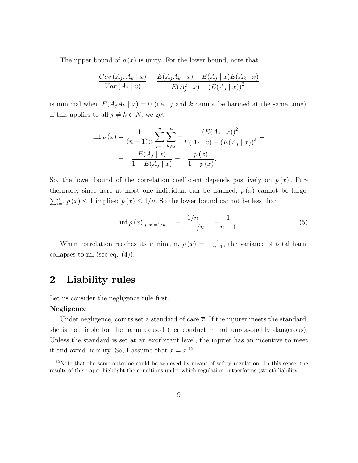The upper bound of  $\rho(x)$  is unity. For the lower bound, note that

$$
\frac{Cov(A_j, A_k | x)}{Var(A_j | x)} = \frac{E(A_j A_k | x) - E(A_j | x)E(A_k | x)}{E(A_j^2 | x) - (E(A_j | x))^2}
$$

is minimal when  $E(A_jA_k \mid x) = 0$  (i.e., j and k cannot be harmed at the same time). If this applies to all  $j \neq k \in N$ , we get

$$
\inf \rho(x) = \frac{1}{(n-1)n} \sum_{j=1}^{n} \sum_{k \neq j}^{n} -\frac{\left(E(A_j \mid x)\right)^2}{E(A_j \mid x) - \left(E(A_j \mid x)\right)^2} = -\frac{E(A_j \mid x)}{1 - E(A_j \mid x)} = -\frac{p(x)}{1 - p(x)}.
$$

So, the lower bound of the correlation coefficient depends positively on  $p(x)$ . Furthermore, since here at most one individual can be harmed,  $p(x)$  cannot be large:  $\sum_{i=1}^{n} p(x) \le 1$  implies:  $p(x) \le 1/n$ . So the lower bound cannot be less than

$$
\inf \rho(x)|_{p(x)=1/n} = -\frac{1/n}{1-1/n} = -\frac{1}{n-1}.
$$
\n(5)

When correlation reaches its minimum,  $\rho(x) = -\frac{1}{n-x}$  $\frac{1}{n-1}$ , the variance of total harm collapses to nil (see eq. (4)).

### 2 Liability rules

Let us consider the negligence rule first.

#### Negligence

Under negligence, courts set a standard of care  $\bar{x}$ . If the injurer meets the standard, she is not liable for the harm caused (her conduct in not unreasonably dangerous). Unless the standard is set at an exorbitant level, the injurer has an incentive to meet it and avoid liability. So, I assume that  $x = \overline{x}.^{12}$ 

<sup>&</sup>lt;sup>12</sup>Note that the same outcome could be achieved by means of safety regulation. In this sense, the results of this paper highlight the conditions under which regulation outperforms (strict) liability.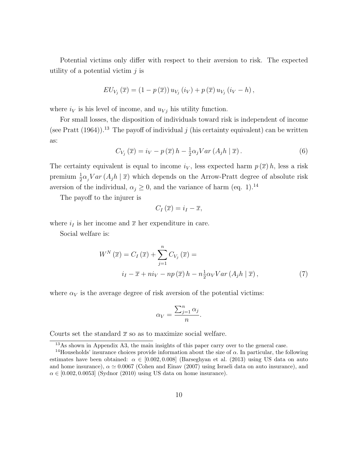Potential victims only differ with respect to their aversion to risk. The expected utility of a potential victim  $j$  is

$$
EU_{V_j}(\overline{x}) = (1 - p(\overline{x})) u_{V_j}(i_V) + p(\overline{x}) u_{V_j}(i_V - h),
$$

where  $i_V$  is his level of income, and  $u_{V_i}$  his utility function.

For small losses, the disposition of individuals toward risk is independent of income (see Pratt  $(1964)$ ).<sup>13</sup> The payoff of individual j (his certainty equivalent) can be written as:

$$
C_{V_j}(\overline{x}) = i_V - p(\overline{x})h - \frac{1}{2}\alpha_j Var(A_j h \mid \overline{x}).
$$
\n(6)

The certainty equivalent is equal to income  $i_V$ , less expected harm  $p(\bar{x}) h$ , less a risk premium  $\frac{1}{2}\alpha_j Var(A_j h \mid \overline{x})$  which depends on the Arrow-Pratt degree of absolute risk aversion of the individual,  $\alpha_j \geq 0$ , and the variance of harm (eq. 1).<sup>14</sup>

The payoff to the injurer is

$$
C_I\left(\overline{x}\right) = i_I - \overline{x},
$$

where  $i_I$  is her income and  $\bar{x}$  her expenditure in care.

Social welfare is:

$$
W^{N}(\overline{x}) = C_{I}(\overline{x}) + \sum_{j=1}^{n} C_{V_{j}}(\overline{x}) =
$$
  
\n
$$
i_{I} - \overline{x} + niv - np(\overline{x})h - n\frac{1}{2}\alpha_{V}Var(A_{j}h | \overline{x}),
$$
\n(7)

where  $\alpha_V$  is the average degree of risk aversion of the potential victims:

$$
\alpha_V = \frac{\sum_{j=1}^n \alpha_j}{n}.
$$

Courts set the standard  $\bar{x}$  so as to maximize social welfare.

<sup>13</sup>As shown in Appendix A3, the main insights of this paper carry over to the general case.

<sup>&</sup>lt;sup>14</sup>Households' insurance choices provide information about the size of  $\alpha$ . In particular, the following estimates have been obtained:  $\alpha \in [0.002, 0.008]$  (Barseghyan et al. (2013) using US data on auto and home insurance),  $\alpha \simeq 0.0067$  (Cohen and Einav (2007) using Israeli data on auto insurance), and  $\alpha \in [0.002, 0.0053]$  (Sydnor (2010) using US data on home insurance).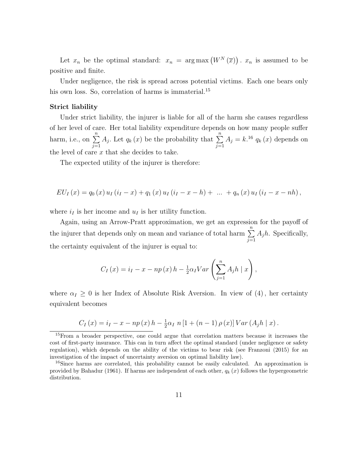Let  $x_n$  be the optimal standard:  $x_n = \arg \max (W^N(\overline{x}))$ .  $x_n$  is assumed to be positive and finite.

Under negligence, the risk is spread across potential victims. Each one bears only his own loss. So, correlation of harms is immaterial.<sup>15</sup>

#### Strict liability

Under strict liability, the injurer is liable for all of the harm she causes regardless of her level of care. Her total liability expenditure depends on how many people suffer harm, i.e., on  $\sum_{n=1}^{\infty}$  $j=1$  $A_j$ . Let  $q_k(x)$  be the probability that  $\sum_{n=1}^n$  $j=1$  $A_j = k^{16} q_k(x)$  depends on the level of care  $x$  that she decides to take.

The expected utility of the injurer is therefore:

$$
EU_I(x) = q_0(x) u_I(i_I - x) + q_1(x) u_I(i_I - x - h) + \ldots + q_n(x) u_I(i_I - x - nh),
$$

where  $i_I$  is her income and  $u_I$  is her utility function.

Again, using an Arrow-Pratt approximation, we get an expression for the payoff of the injurer that depends only on mean and variance of total harm  $\sum_{n=1}^{\infty}$  $j=1$  $A_j h$ . Specifically, the certainty equivalent of the injurer is equal to:

$$
C_I(x) = i_I - x - np(x) h - \frac{1}{2} \alpha_I Var \left( \sum_{j=1}^n A_j h \mid x \right),
$$

where  $\alpha_I \geq 0$  is her Index of Absolute Risk Aversion. In view of (4), her certainty equivalent becomes

$$
C_I(x) = i_I - x - np(x) h - \frac{1}{2} \alpha_I n [1 + (n-1) \rho(x)] Var(A_j h \mid x).
$$

 $15$ From a broader perspective, one could argue that correlation matters because it increases the cost of first-party insurance. This can in turn affect the optimal standard (under negligence or safety regulation), which depends on the ability of the victims to bear risk (see Franzoni (2015) for an investigation of the impact of uncertainty aversion on optimal liability law).

<sup>&</sup>lt;sup>16</sup>Since harms are correlated, this probability cannot be easily calculated. An approximation is provided by Bahadur (1961). If harms are independent of each other,  $q_k(x)$  follows the hypergeometric distribution.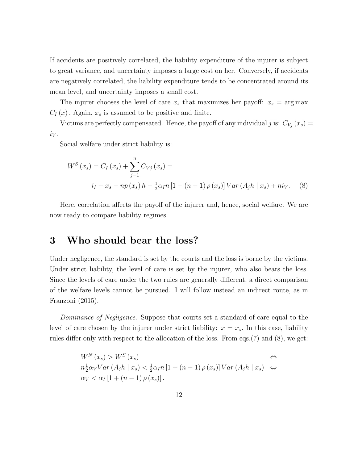If accidents are positively correlated, the liability expenditure of the injurer is subject to great variance, and uncertainty imposes a large cost on her. Conversely, if accidents are negatively correlated, the liability expenditure tends to be concentrated around its mean level, and uncertainty imposes a small cost.

The injurer chooses the level of care  $x_s$  that maximizes her payoff:  $x_s = \arg \max$  $C_I(x)$ . Again,  $x_s$  is assumed to be positive and finite.

Victims are perfectly compensated. Hence, the payoff of any individual j is:  $C_{V_j}(x_s)$  =  $i_V$ .

Social welfare under strict liability is:

$$
W^{S}(x_{s}) = C_{I}(x_{s}) + \sum_{j=1}^{n} C_{Vj}(x_{s}) =
$$
  
\n
$$
i_{I} - x_{s} - np(x_{s}) h - \frac{1}{2}\alpha_{I}n [1 + (n - 1) \rho(x_{s})] Var(A_{j}h | x_{s}) + n i_{V}. \quad (8)
$$

Here, correlation affects the payoff of the injurer and, hence, social welfare. We are now ready to compare liability regimes.

### 3 Who should bear the loss?

Under negligence, the standard is set by the courts and the loss is borne by the victims. Under strict liability, the level of care is set by the injurer, who also bears the loss. Since the levels of care under the two rules are generally different, a direct comparison of the welfare levels cannot be pursued. I will follow instead an indirect route, as in Franzoni (2015).

Dominance of Negligence. Suppose that courts set a standard of care equal to the level of care chosen by the injurer under strict liability:  $\bar{x} = x_s$ . In this case, liability rules differ only with respect to the allocation of the loss. From eqs.(7) and (8), we get:

$$
W^{N}(x_{s}) > W^{S}(x_{s}) \qquad \Leftrightarrow
$$
  
\n
$$
n \frac{1}{2} \alpha_{V} Var(A_{j}h | x_{s}) < \frac{1}{2} \alpha_{I} n [1 + (n - 1) \rho(x_{s})] Var(A_{j}h | x_{s}) \Leftrightarrow
$$
  
\n
$$
\alpha_{V} < \alpha_{I} [1 + (n - 1) \rho(x_{s})].
$$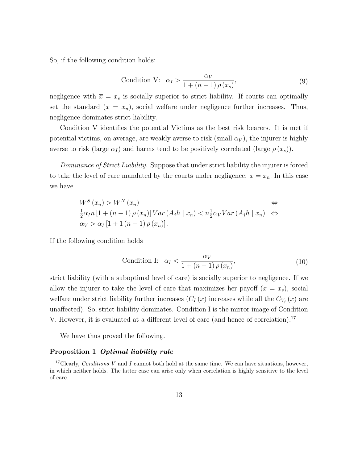So, if the following condition holds:

Condition V: 
$$
\alpha_I > \frac{\alpha_V}{1 + (n-1)\rho(x_s)}
$$
, (9)

negligence with  $\bar{x} = x_s$  is socially superior to strict liability. If courts can optimally set the standard  $(\bar{x} = x_n)$ , social welfare under negligence further increases. Thus, negligence dominates strict liability.

Condition V identifies the potential Victims as the best risk bearers. It is met if potential victims, on average, are weakly averse to risk (small  $\alpha_V$ ), the injurer is highly averse to risk (large  $\alpha_I$ ) and harms tend to be positively correlated (large  $\rho(x_s)$ ).

Dominance of Strict Liability. Suppose that under strict liability the injurer is forced to take the level of care mandated by the courts under negligence:  $x = x_n$ . In this case we have

$$
W^{S}(x_{n}) > W^{N}(x_{n}) \qquad \Leftrightarrow
$$
  
\n
$$
\frac{1}{2}\alpha_{I}n\left[1 + (n-1)\rho(x_{n})\right]Var(A_{j}h \mid x_{n}) < n\frac{1}{2}\alpha_{V}Var(A_{j}h \mid x_{n}) \qquad \Leftrightarrow
$$
  
\n
$$
\alpha_{V} > \alpha_{I}\left[1 + 1\left(n - 1\right)\rho(x_{n})\right].
$$

If the following condition holds

Condition I: 
$$
\alpha_I < \frac{\alpha_V}{1 + (n-1)\rho(x_n)}
$$
, (10)

strict liability (with a suboptimal level of care) is socially superior to negligence. If we allow the injurer to take the level of care that maximizes her payoff  $(x = x_s)$ , social welfare under strict liability further increases  $(C_I(x))$  increases while all the  $C_{V_j}(x)$  are unaffected). So, strict liability dominates. Condition I is the mirror image of Condition V. However, it is evaluated at a different level of care (and hence of correlation).<sup>17</sup>

We have thus proved the following.

#### Proposition 1 Optimal liability rule

<sup>&</sup>lt;sup>17</sup>Clearly, *Conditions V* and *I* cannot both hold at the same time. We can have situations, however, in which neither holds. The latter case can arise only when correlation is highly sensitive to the level of care.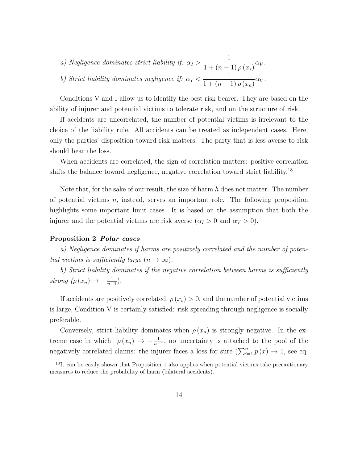a) Negligence dominates strict liability if:  $\alpha_I$  > 1  $1 + (n - 1) \rho(x_s)$  $\alpha_V$ . b) Strict liability dominates negligence if:  $\alpha_I$ 1  $1 + (n - 1) \rho(x_n)$  $\alpha_V$ .

Conditions V and I allow us to identify the best risk bearer. They are based on the ability of injurer and potential victims to tolerate risk, and on the structure of risk.

If accidents are uncorrelated, the number of potential victims is irrelevant to the choice of the liability rule. All accidents can be treated as independent cases. Here, only the parties' disposition toward risk matters. The party that is less averse to risk should bear the loss.

When accidents are correlated, the sign of correlation matters: positive correlation shifts the balance toward negligence, negative correlation toward strict liability.<sup>18</sup>

Note that, for the sake of our result, the size of harm  $h$  does not matter. The number of potential victims n, instead, serves an important role. The following proposition highlights some important limit cases. It is based on the assumption that both the injurer and the potential victims are risk averse  $(\alpha_I > 0 \text{ and } \alpha_V > 0)$ .

#### Proposition 2 Polar cases

a) Negligence dominates if harms are positively correlated and the number of potential victims is sufficiently large  $(n \to \infty)$ .

b) Strict liability dominates if the negative correlation between harms is sufficiently strong  $(\rho(x_n) \rightarrow -\frac{1}{n-1}).$ 

If accidents are positively correlated,  $\rho(x_s) > 0$ , and the number of potential victims is large, Condition V is certainly satisfied: risk spreading through negligence is socially preferable.

Conversely, strict liability dominates when  $\rho(x_n)$  is strongly negative. In the extreme case in which  $\rho(x_n) \to -\frac{1}{n-1}$ , no uncertainty is attached to the pool of the negatively correlated claims: the injurer faces a loss for sure  $(\sum_{i=1}^n p(x) \to 1$ , see eq.

<sup>&</sup>lt;sup>18</sup>It can be easily shown that Proposition 1 also applies when potential victims take precautionary measures to reduce the probability of harm (bilateral accidents).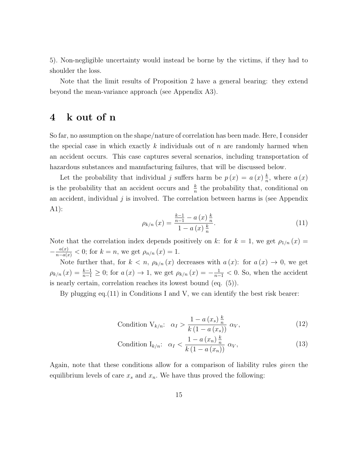5). Non-negligible uncertainty would instead be borne by the victims, if they had to shoulder the loss.

Note that the limit results of Proposition 2 have a general bearing: they extend beyond the mean-variance approach (see Appendix A3).

### 4 k out of n

So far, no assumption on the shape/nature of correlation has been made. Here, I consider the special case in which exactly k individuals out of n are randomly harmed when an accident occurs. This case captures several scenarios, including transportation of hazardous substances and manufacturing failures, that will be discussed below.

Let the probability that individual j suffers harm be  $p(x) = a(x) \frac{k}{n}$  $\frac{k}{n}$ , where  $a(x)$ is the probability that an accident occurs and  $\frac{k}{n}$  the probability that, conditional on an accident, individual j is involved. The correlation between harms is (see Appendix A1):

$$
\rho_{k/n}(x) = \frac{\frac{k-1}{n-1} - a(x)\frac{k}{n}}{1 - a(x)\frac{k}{n}}.\tag{11}
$$

Note that the correlation index depends positively on k: for  $k = 1$ , we get  $\rho_{1/n}(x) =$  $-\frac{a(x)}{n-a(x)} < 0$ ; for  $k = n$ , we get  $\rho_{n/n}(x) = 1$ .

Note further that, for  $k < n$ ,  $\rho_{k/n}(x)$  decreases with  $a(x)$ : for  $a(x) \to 0$ , we get  $\rho_{k/n}(x) = \frac{k-1}{n-1} \geq 0$ ; for  $a(x) \to 1$ , we get  $\rho_{k/n}(x) = -\frac{1}{n-1} < 0$ . So, when the accident is nearly certain, correlation reaches its lowest bound (eq. (5)).

By plugging eq.  $(11)$  in Conditions I and V, we can identify the best risk bearer:

Condition 
$$
V_{k/n}
$$
:  $\alpha_I > \frac{1 - a(x_s) \frac{k}{n}}{k(1 - a(x_s))} \alpha_V,$  (12)

Condition 
$$
I_{k/n}
$$
:  $\alpha_I < \frac{1 - a(x_n) \frac{k}{n}}{k(1 - a(x_n))} \alpha_V,$  (13)

Again, note that these conditions allow for a comparison of liability rules *given* the equilibrium levels of care  $x_s$  and  $x_n$ . We have thus proved the following: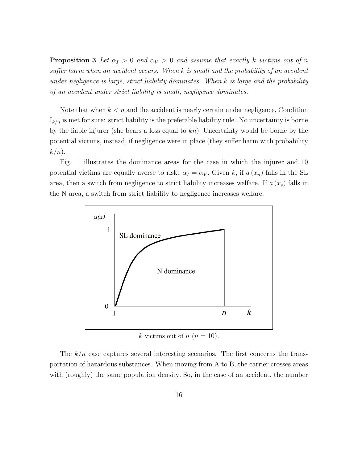**Proposition 3** Let  $\alpha_I > 0$  and  $\alpha_V > 0$  and assume that exactly k victims out of n suffer harm when an accident occurs. When k is small and the probability of an accident under negligence is large, strict liability dominates. When  $k$  is large and the probability of an accident under strict liability is small, negligence dominates.

Note that when  $k < n$  and the accident is nearly certain under negligence, Condition  $I_{k/n}$  is met for sure: strict liability is the preferable liability rule. No uncertainty is borne by the liable injurer (she bears a loss equal to  $kn$ ). Uncertainty would be borne by the potential victims, instead, if negligence were in place (they suffer harm with probability  $k/n$ ).

Fig. 1 illustrates the dominance areas for the case in which the injurer and 10 potential victims are equally averse to risk:  $\alpha_I = \alpha_V$ . Given k, if  $a(x_n)$  falls in the SL area, then a switch from negligence to strict liability increases welfare. If  $a(x<sub>s</sub>)$  falls in the N area, a switch from strict liability to negligence increases welfare.



k victims out of  $n (n = 10)$ .

The  $k/n$  case captures several interesting scenarios. The first concerns the transportation of hazardous substances. When moving from A to B, the carrier crosses areas with (roughly) the same population density. So, in the case of an accident, the number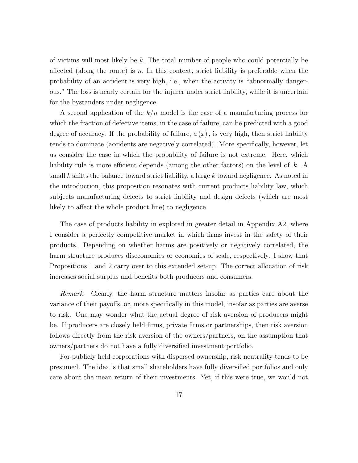of victims will most likely be k. The total number of people who could potentially be affected (along the route) is  $n$ . In this context, strict liability is preferable when the probability of an accident is very high, i.e., when the activity is "abnormally dangerous." The loss is nearly certain for the injurer under strict liability, while it is uncertain for the bystanders under negligence.

A second application of the  $k/n$  model is the case of a manufacturing process for which the fraction of defective items, in the case of failure, can be predicted with a good degree of accuracy. If the probability of failure,  $a(x)$ , is very high, then strict liability tends to dominate (accidents are negatively correlated). More specifically, however, let us consider the case in which the probability of failure is not extreme. Here, which liability rule is more efficient depends (among the other factors) on the level of k. A small k shifts the balance toward strict liability, a large  $k$  toward negligence. As noted in the introduction, this proposition resonates with current products liability law, which subjects manufacturing defects to strict liability and design defects (which are most likely to affect the whole product line) to negligence.

The case of products liability in explored in greater detail in Appendix A2, where I consider a perfectly competitive market in which firms invest in the safety of their products. Depending on whether harms are positively or negatively correlated, the harm structure produces diseconomies or economies of scale, respectively. I show that Propositions 1 and 2 carry over to this extended set-up. The correct allocation of risk increases social surplus and benefits both producers and consumers.

Remark. Clearly, the harm structure matters insofar as parties care about the variance of their payoffs, or, more specifically in this model, insofar as parties are averse to risk. One may wonder what the actual degree of risk aversion of producers might be. If producers are closely held firms, private firms or partnerships, then risk aversion follows directly from the risk aversion of the owners/partners, on the assumption that owners/partners do not have a fully diversified investment portfolio.

For publicly held corporations with dispersed ownership, risk neutrality tends to be presumed. The idea is that small shareholders have fully diversified portfolios and only care about the mean return of their investments. Yet, if this were true, we would not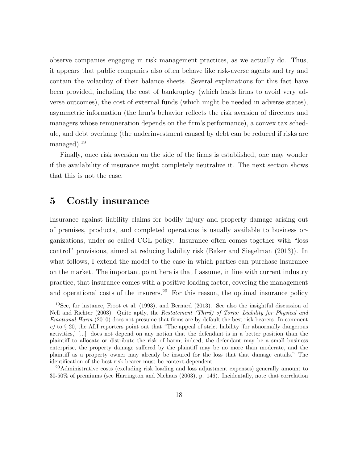observe companies engaging in risk management practices, as we actually do. Thus, it appears that public companies also often behave like risk-averse agents and try and contain the volatility of their balance sheets. Several explanations for this fact have been provided, including the cost of bankruptcy (which leads firms to avoid very adverse outcomes), the cost of external funds (which might be needed in adverse states), asymmetric information (the firm's behavior reflects the risk aversion of directors and managers whose remuneration depends on the firm's performance), a convex tax schedule, and debt overhang (the underinvestment caused by debt can be reduced if risks are managed).<sup>19</sup>

Finally, once risk aversion on the side of the firms is established, one may wonder if the availability of insurance might completely neutralize it. The next section shows that this is not the case.

### 5 Costly insurance

Insurance against liability claims for bodily injury and property damage arising out of premises, products, and completed operations is usually available to business organizations, under so called CGL policy. Insurance often comes together with "loss control" provisions, aimed at reducing liability risk (Baker and Siegelman (2013)). In what follows, I extend the model to the case in which parties can purchase insurance on the market. The important point here is that I assume, in line with current industry practice, that insurance comes with a positive loading factor, covering the management and operational costs of the insurers.<sup>20</sup> For this reason, the optimal insurance policy

<sup>19</sup>See, for instance, Froot et al. (1993), and Bernard (2013). See also the insightful discussion of Nell and Richter (2003). Quite aptly, the Restatement (Third) of Torts: Liability for Physical and Emotional Harm (2010) does not presume that firms are by default the best risk bearers. In comment  $e$ ) to  $\S$  20, the ALI reporters point out that "The appeal of strict liability [for abnormally dangerous activities,] [...] does not depend on any notion that the defendant is in a better position than the plaintiff to allocate or distribute the risk of harm; indeed, the defendant may be a small business enterprise, the property damage suffered by the plaintiff may be no more than moderate, and the plaintiff as a property owner may already be insured for the loss that that damage entails." The identification of the best risk bearer must be context-dependent.

<sup>&</sup>lt;sup>20</sup>Administrative costs (excluding risk loading and loss adjustment expenses) generally amount to 30-50% of premiums (see Harrington and Niehaus (2003), p. 146). Incidentally, note that correlation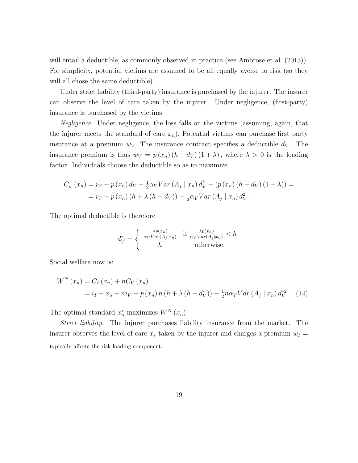will entail a deductible, as commonly observed in practice (see Ambrose et al.  $(2013)$ ). For simplicity, potential victims are assumed to be all equally averse to risk (so they will all chose the same deductible).

Under strict liability (third-party) insurance is purchased by the injurer. The insurer can observe the level of care taken by the injurer. Under negligence, (first-party) insurance is purchased by the victims.

Negligence. Under negligence, the loss falls on the victims (assuming, again, that the injurer meets the standard of care  $x_n$ ). Potential victims can purchase first party insurance at a premium  $w_V$ . The insurance contract specifies a deductible  $d_V$ . The insurance premium is thus  $w_V = p(x_n) (h - d_V) (1 + \lambda)$ , where  $\lambda > 0$  is the loading factor. Individuals choose the deductible so as to maximize

$$
C_V(x_n) = i_V - p(x_n) d_V - \frac{1}{2} \alpha_V Var(A_j | x_n) d_V^2 - (p(x_n) (h - d_V) (1 + \lambda)) =
$$
  
=  $i_V - p(x_n) (h + \lambda (h - d_V)) - \frac{1}{2} \alpha_V Var(A_j | x_n) d_V^2.$ 

The optimal deductible is therefore

$$
d_V^* = \begin{cases} \frac{\lambda p(x_n)}{\alpha_V Var(A_j|x_n)} & \text{if } \frac{\lambda p(x_n)}{\alpha_V Var(A_j|x_n)} < h\\ h & \text{otherwise.} \end{cases}
$$

Social welfare now is:

$$
W^{N}(x_{n}) = C_{I}(x_{n}) + nC_{V}(x_{n})
$$
  
=  $i_{I} - x_{n} + niv - p(x_{n}) n (h + \lambda (h - d_{V}^{*})) - \frac{1}{2} n \alpha_{V} Var(A_{j} | x_{n}) d_{V}^{*2}$ . (14)

The optimal standard  $x_n^*$  maximizes  $W^N(x_n)$ .

Strict liability. The injurer purchases liability insurance from the market. The insurer observes the level of care  $x_s$  taken by the injurer and charges a premium  $w_I =$ 

typically affects the risk loading component.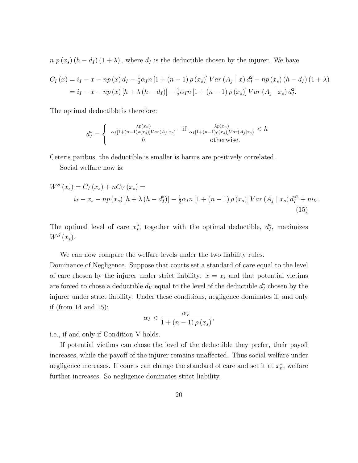$n p(x_s) (h - d_I) (1 + \lambda)$ , where  $d_I$  is the deductible chosen by the injurer. We have

$$
C_{I}(x) = i_{I} - x - np(x) d_{I} - \frac{1}{2} \alpha_{I} n [1 + (n - 1) \rho(x_{s})] Var(A_{j} | x) d_{I}^{2} - np(x_{s}) (h - d_{I}) (1 + \lambda)
$$
  
=  $i_{I} - x - np(x) [h + \lambda (h - d_{I})] - \frac{1}{2} \alpha_{I} n [1 + (n - 1) \rho(x_{s})] Var(A_{j} | x_{s}) d_{I}^{2}.$ 

The optimal deductible is therefore:

$$
d_I^* = \begin{cases} \frac{\lambda p(x_n)}{\alpha_I [1 + (n-1)\rho(x_s)] Var(A_j|x_s)} & \text{if } \frac{\lambda p(x_n)}{\alpha_I [1 + (n-1)\rho(x_s)] Var(A_j|x_s)} < h \\ h & \text{otherwise.} \end{cases}
$$

Ceteris paribus, the deductible is smaller is harms are positively correlated.

Social welfare now is:

$$
W^{S}(x_{s}) = C_{I}(x_{s}) + nC_{V}(x_{s}) =
$$
  
\n
$$
i_{I} - x_{s} - np(x_{s})[h + \lambda(h - d_{I}^{*})] - \frac{1}{2}\alpha_{I}n[1 + (n - 1)\rho(x_{s})]Var(A_{j} | x_{s}) d_{I}^{*2} + niv.
$$
\n(15)

The optimal level of care  $x_s^*$ , together with the optimal deductible,  $d_I^*$ , maximizes  $W^S(x_s).$ 

We can now compare the welfare levels under the two liability rules.

Dominance of Negligence. Suppose that courts set a standard of care equal to the level of care chosen by the injurer under strict liability:  $\bar{x} = x_s$  and that potential victims are forced to chose a deductible  $d_V$  equal to the level of the deductible  $d_I^*$  chosen by the injurer under strict liability. Under these conditions, negligence dominates if, and only if (from 14 and 15):

$$
\alpha_I < \frac{\alpha_V}{1 + (n-1)\,\rho\,(x_s)},
$$

i.e., if and only if Condition V holds.

If potential victims can chose the level of the deductible they prefer, their payoff increases, while the payoff of the injurer remains unaffected. Thus social welfare under negligence increases. If courts can change the standard of care and set it at  $x_n^*$ , welfare further increases. So negligence dominates strict liability.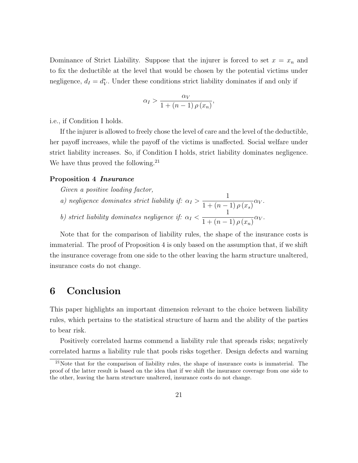Dominance of Strict Liability. Suppose that the injurer is forced to set  $x = x_n$  and to fix the deductible at the level that would be chosen by the potential victims under negligence,  $d_I = d_V^*$ . Under these conditions strict liability dominates if and only if

$$
\alpha_I > \frac{\alpha_V}{1 + (n-1)\,\rho\,(x_n)},
$$

i.e., if Condition I holds.

If the injurer is allowed to freely chose the level of care and the level of the deductible, her payoff increases, while the payoff of the victims is unaffected. Social welfare under strict liability increases. So, if Condition I holds, strict liability dominates negligence. We have thus proved the following. $^{21}$ 

#### Proposition 4 Insurance

Given a positive loading factor,

a) negligence dominates strict liability if:  $\alpha_I$  > 1  $1 + (n - 1) \rho(x_s)$  $\alpha_V$ . b) strict liability dominates negligence if:  $\alpha_I$ 1  $1 + (n - 1) \rho(x_n)$  $\alpha_V$ .

Note that for the comparison of liability rules, the shape of the insurance costs is immaterial. The proof of Proposition 4 is only based on the assumption that, if we shift the insurance coverage from one side to the other leaving the harm structure unaltered, insurance costs do not change.

## 6 Conclusion

This paper highlights an important dimension relevant to the choice between liability rules, which pertains to the statistical structure of harm and the ability of the parties to bear risk.

Positively correlated harms commend a liability rule that spreads risks; negatively correlated harms a liability rule that pools risks together. Design defects and warning

 $21$ Note that for the comparison of liability rules, the shape of insurance costs is immaterial. The proof of the latter result is based on the idea that if we shift the insurance coverage from one side to the other, leaving the harm structure unaltered, insurance costs do not change.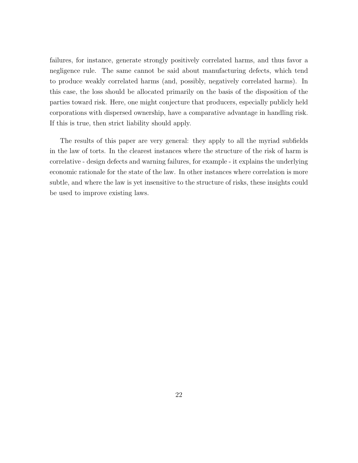failures, for instance, generate strongly positively correlated harms, and thus favor a negligence rule. The same cannot be said about manufacturing defects, which tend to produce weakly correlated harms (and, possibly, negatively correlated harms). In this case, the loss should be allocated primarily on the basis of the disposition of the parties toward risk. Here, one might conjecture that producers, especially publicly held corporations with dispersed ownership, have a comparative advantage in handling risk. If this is true, then strict liability should apply.

The results of this paper are very general: they apply to all the myriad subfields in the law of torts. In the clearest instances where the structure of the risk of harm is correlative - design defects and warning failures, for example - it explains the underlying economic rationale for the state of the law. In other instances where correlation is more subtle, and where the law is yet insensitive to the structure of risks, these insights could be used to improve existing laws.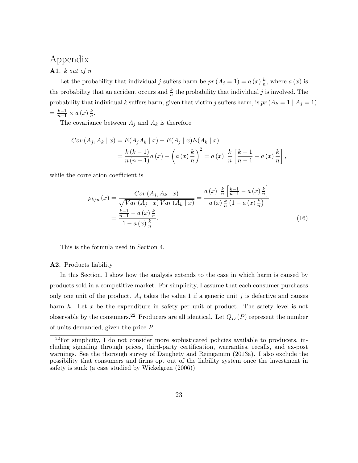# Appendix

#### $A1.$  k out of n

Let the probability that individual j suffers harm be  $pr(A_j = 1) = a(x) \frac{k}{n}$  $\frac{k}{n}$ , where  $a(x)$  is the probability that an accident occurs and  $\frac{k}{n}$  the probability that individual j is involved. The probability that individual k suffers harm, given that victim j suffers harm, is pr  $(A_k = 1 | A_j = 1)$  $=\frac{k-1}{n-1}\times a\left(x\right)\frac{k}{n}$  $\frac{k}{n}$ .

The covariance between  $A_j$  and  $A_k$  is therefore

$$
Cov (A_j, A_k | x) = E(A_j A_k | x) - E(A_j | x) E(A_k | x)
$$
  
=  $\frac{k (k-1)}{n (n-1)} a (x) - (a (x) \frac{k}{n})^2 = a (x) \frac{k}{n} \left[ \frac{k-1}{n-1} - a (x) \frac{k}{n} \right],$ 

while the correlation coefficient is

$$
\rho_{k/n}(x) = \frac{Cov(A_j, A_k | x)}{\sqrt{Var(A_j | x) Var(A_k | x)}} = \frac{a(x) \frac{k}{n} \left[ \frac{k-1}{n-1} - a(x) \frac{k}{n} \right]}{a(x) \frac{k}{n} \left( 1 - a(x) \frac{k}{n} \right)}
$$

$$
= \frac{\frac{k-1}{n-1} - a(x) \frac{k}{n}}{1 - a(x) \frac{k}{n}}.
$$
(16)

This is the formula used in Section 4.

#### A2. Products liability

In this Section, I show how the analysis extends to the case in which harm is caused by products sold in a competitive market. For simplicity, I assume that each consumer purchases only one unit of the product.  $A_j$  takes the value 1 if a generic unit j is defective and causes harm  $h$ . Let  $x$  be the expenditure in safety per unit of product. The safety level is not observable by the consumers.<sup>22</sup> Producers are all identical. Let  $Q_D(P)$  represent the number of units demanded, given the price P.

<sup>22</sup>For simplicity, I do not consider more sophisticated policies available to producers, including signaling through prices, third-party certification, warranties, recalls, and ex-post warnings. See the thorough survey of Daughety and Reinganum (2013a). I also exclude the possibility that consumers and firms opt out of the liability system once the investment in safety is sunk (a case studied by Wickelgren (2006)).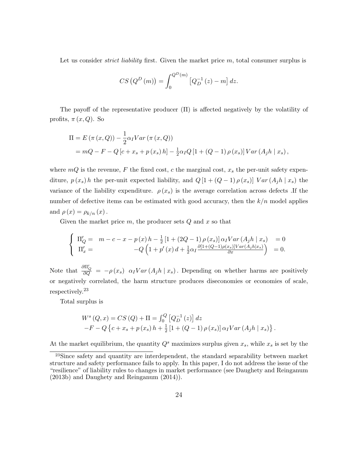Let us consider *strict liability* first. Given the market price  $m$ , total consumer surplus is

$$
CS(QD(m)) = \int_0^{QD(m)} [QD-1(z) - m] dz.
$$

The payoff of the representative producer (Π) is affected negatively by the volatility of profits,  $\pi(x, Q)$ . So

$$
\Pi = E(\pi(x, Q)) - \frac{1}{2}\alpha_I Var(\pi(x, Q))
$$
  
=  $mQ - F - Q[c + x_s + p(x_s) h] - \frac{1}{2}\alpha_I Q[1 + (Q - 1)\rho(x_s)] Var(A_j h | x_s),$ 

where  $mQ$  is the revenue, F the fixed cost, c the marginal cost,  $x_s$  the per-unit safety expenditure,  $p(x_s)$  h the per-unit expected liability, and  $Q[1 + (Q - 1)\rho(x_s)]$  Var $(A_j h | x_s)$  the variance of the liability expenditure.  $\rho(x_s)$  is the average correlation across defects . If the number of defective items can be estimated with good accuracy, then the  $k/n$  model applies and  $\rho(x) = \rho_{k/n}(x)$ .

Given the market price  $m$ , the producer sets  $Q$  and  $x$  so that

$$
\begin{cases}\n\Pi'_{Q} = m - c - x - p(x) h - \frac{1}{2} [1 + (2Q - 1) \rho(x_s)] \alpha_I Var(A_j h | x_s) = 0 \\
\Pi'_{x} = -Q \left( 1 + p'(x) d + \frac{1}{2} \alpha_I \frac{\partial [1 + (Q - 1) \rho(x_s)] Var(A_j h | x_s)}{\partial x} \right) = 0.\n\end{cases}
$$

Note that  $\frac{\partial \Pi'_{Q}}{\partial Q} = -\rho(x_s) \alpha_I Var(A_j h \mid x_s)$ . Depending on whether harms are positively or negatively correlated, the harm structure produces diseconomies or economies of scale, respectively.<sup>23</sup>

Total surplus is

$$
W^{s}(Q, x) = CS(Q) + \Pi = \int_{0}^{Q} [Q_{D}^{-1}(z)] dz
$$
  
-F - Q {c + x<sub>s</sub> + p(x<sub>s</sub>) h +  $\frac{1}{2}$  [1 + (Q - 1) ρ(x<sub>s</sub>)] α<sub>I</sub>Var(A<sub>j</sub>h | x<sub>s</sub>)}

.

At the market equilibrium, the quantity  $Q^s$  maximizes surplus given  $x_s$ , while  $x_s$  is set by the

<sup>&</sup>lt;sup>23</sup>Since safety and quantity are interdependent, the standard separability between market structure and safety performance fails to apply. In this paper, I do not address the issue of the "resilience" of liability rules to changes in market performance (see Daughety and Reinganum (2013b) and Daughety and Reinganum (2014)).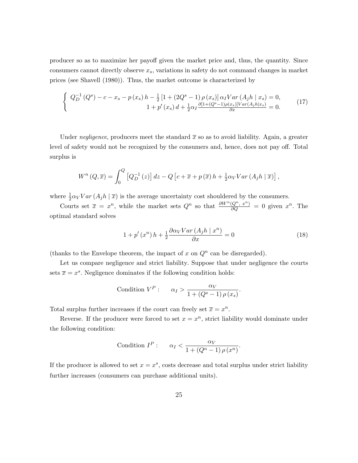producer so as to maximize her payoff given the market price and, thus, the quantity. Since consumers cannot directly observe  $x_s$ , variations in safety do not command changes in market prices (see Shavell (1980)). Thus, the market outcome is characterized by

$$
\begin{cases}\nQ_D^{-1}(Q^s) - c - x_s - p(x_s)h - \frac{1}{2} \left[1 + (2Q^s - 1)\rho(x_s)\right] \alpha_I Var\left(A_j h \mid x_s\right) = 0, \\
1 + p'(x_s) d + \frac{1}{2} \alpha_I \frac{\partial [1 + (Q^s - 1)\rho(x_s)] Var(A_j h | x_s)}{\partial x} = 0.\n\end{cases} \tag{17}
$$

Under negligence, producers meet the standard  $\bar{x}$  so as to avoid liability. Again, a greater level of safety would not be recognized by the consumers and, hence, does not pay off. Total surplus is

$$
W^{n}(Q,\overline{x}) = \int_{0}^{Q} [Q_{D}^{-1}(z)] dz - Q [c + \overline{x} + p(\overline{x}) h + \frac{1}{2}\alpha_{V}Var(A_{j}h | \overline{x})],
$$

where  $\frac{1}{2}\alpha_V Var(A_j h \mid \overline{x})$  is the average uncertainty cost shouldered by the consumers.

Courts set  $\bar{x} = x^n$ , while the market sets  $Q^n$  so that  $\frac{\partial W^n(Q^n, x^n)}{\partial Q} = 0$  given  $x^n$ . The optimal standard solves

$$
1 + p'(x^n) h + \frac{1}{2} \frac{\partial \alpha_V Var\left(A_j h \mid x^n\right)}{\partial x} = 0 \tag{18}
$$

(thanks to the Envelope theorem, the impact of x on  $Q<sup>n</sup>$  can be disregarded).

Let us compare negligence and strict liability. Suppose that under negligence the courts sets  $\bar{x} = x^s$ . Negligence dominates if the following condition holds:

Condition 
$$
V^P
$$
:  $\alpha_I > \frac{\alpha_V}{1 + (Q^s - 1) \rho(x_s)}$ .

Total surplus further increases if the court can freely set  $\bar{x} = x^n$ .

Reverse. If the producer were forced to set  $x = x^n$ , strict liability would dominate under the following condition:

Condition 
$$
I^P
$$
:  $\alpha_I < \frac{\alpha_V}{1 + (Q^n - 1)\rho(x^n)}$ .

If the producer is allowed to set  $x = x^s$ , costs decrease and total surplus under strict liability further increases (consumers can purchase additional units).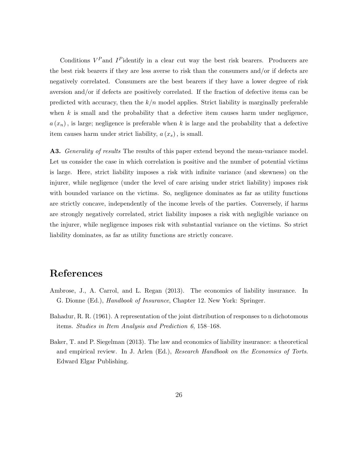Conditions  $V^P$  and  $I^P$  identify in a clear cut way the best risk bearers. Producers are the best risk bearers if they are less averse to risk than the consumers and/or if defects are negatively correlated. Consumers are the best bearers if they have a lower degree of risk aversion and/or if defects are positively correlated. If the fraction of defective items can be predicted with accuracy, then the  $k/n$  model applies. Strict liability is marginally preferable when  $k$  is small and the probability that a defective item causes harm under negligence,  $a(x_n)$ , is large; negligence is preferable when k is large and the probability that a defective item causes harm under strict liability,  $a(x_s)$ , is small.

A3. Generality of results The results of this paper extend beyond the mean-variance model. Let us consider the case in which correlation is positive and the number of potential victims is large. Here, strict liability imposes a risk with infinite variance (and skewness) on the injurer, while negligence (under the level of care arising under strict liability) imposes risk with bounded variance on the victims. So, negligence dominates as far as utility functions are strictly concave, independently of the income levels of the parties. Conversely, if harms are strongly negatively correlated, strict liability imposes a risk with negligible variance on the injurer, while negligence imposes risk with substantial variance on the victims. So strict liability dominates, as far as utility functions are strictly concave.

# References

- Ambrose, J., A. Carrol, and L. Regan (2013). The economics of liability insurance. In G. Dionne (Ed.), Handbook of Insurance, Chapter 12. New York: Springer.
- Bahadur, R. R. (1961). A representation of the joint distribution of responses to n dichotomous items. Studies in Item Analysis and Prediction 6, 158–168.
- Baker, T. and P. Siegelman (2013). The law and economics of liability insurance: a theoretical and empirical review. In J. Arlen (Ed.), Research Handbook on the Economics of Torts. Edward Elgar Publishing.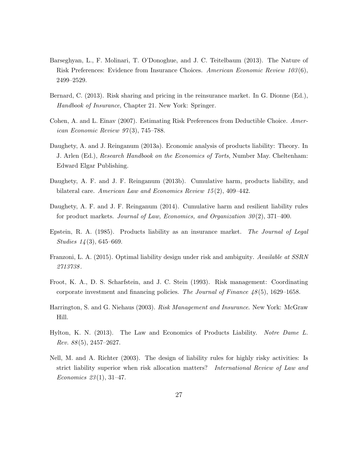- Barseghyan, L., F. Molinari, T. O'Donoghue, and J. C. Teitelbaum (2013). The Nature of Risk Preferences: Evidence from Insurance Choices. American Economic Review 103 (6), 2499–2529.
- Bernard, C. (2013). Risk sharing and pricing in the reinsurance market. In G. Dionne (Ed.), Handbook of Insurance, Chapter 21. New York: Springer.
- Cohen, A. and L. Einav (2007). Estimating Risk Preferences from Deductible Choice. American Economic Review 97(3), 745–788.
- Daughety, A. and J. Reinganum (2013a). Economic analysis of products liability: Theory. In J. Arlen (Ed.), Research Handbook on the Economics of Torts, Number May. Cheltenham: Edward Elgar Publishing.
- Daughety, A. F. and J. F. Reinganum (2013b). Cumulative harm, products liability, and bilateral care. American Law and Economics Review 15 (2), 409–442.
- Daughety, A. F. and J. F. Reinganum (2014). Cumulative harm and resilient liability rules for product markets. Journal of Law, Economics, and Organization 30 (2), 371–400.
- Epstein, R. A. (1985). Products liability as an insurance market. The Journal of Legal Studies 14 (3), 645–669.
- Franzoni, L. A. (2015). Optimal liability design under risk and ambiguity. Available at SSRN 2713738 .
- Froot, K. A., D. S. Scharfstein, and J. C. Stein (1993). Risk management: Coordinating corporate investment and financing policies. The Journal of Finance  $48(5)$ , 1629–1658.
- Harrington, S. and G. Niehaus (2003). Risk Management and Insurance. New York: McGraw Hill.
- Hylton, K. N. (2013). The Law and Economics of Products Liability. Notre Dame L.  $Rev. 88(5), 2457-2627.$
- Nell, M. and A. Richter (2003). The design of liability rules for highly risky activities: Is strict liability superior when risk allocation matters? International Review of Law and Economics  $23(1), 31-47.$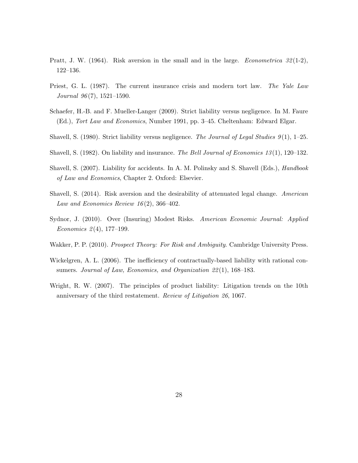- Pratt, J. W. (1964). Risk aversion in the small and in the large. *Econometrica*  $32(1-2)$ , 122–136.
- Priest, G. L. (1987). The current insurance crisis and modern tort law. The Yale Law Journal  $96(7)$ , 1521-1590.
- Schaefer, H.-B. and F. Mueller-Langer (2009). Strict liability versus negligence. In M. Faure (Ed.), Tort Law and Economics, Number 1991, pp. 3–45. Cheltenham: Edward Elgar.
- Shavell, S. (1980). Strict liability versus negligence. The Journal of Legal Studies  $9(1)$ , 1–25.
- Shavell, S. (1982). On liability and insurance. The Bell Journal of Economics 13(1), 120–132.
- Shavell, S. (2007). Liability for accidents. In A. M. Polinsky and S. Shavell (Eds.), *Handbook* of Law and Economics, Chapter 2. Oxford: Elsevier.
- Shavell, S. (2014). Risk aversion and the desirability of attenuated legal change. American Law and Economics Review 16(2), 366–402.
- Sydnor, J. (2010). Over (Insuring) Modest Risks. American Economic Journal: Applied Economics 2(4), 177–199.
- Wakker, P. P. (2010). *Prospect Theory: For Risk and Ambiguity*. Cambridge University Press.
- Wickelgren, A. L. (2006). The inefficiency of contractually-based liability with rational consumers. Journal of Law, Economics, and Organization 22(1), 168-183.
- Wright, R. W. (2007). The principles of product liability: Litigation trends on the 10th anniversary of the third restatement. Review of Litigation 26, 1067.